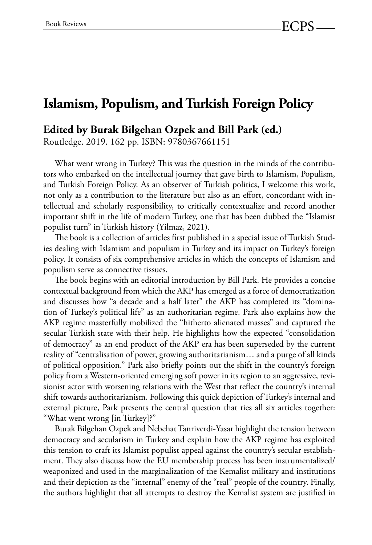## **Islamism, Populism, and Turkish Foreign Policy**

## **Edited by Burak Bilgehan Ozpek and Bill Park (ed.)**

Routledge. 2019. 162 pp. ISBN: 9780367661151

What went wrong in Turkey? This was the question in the minds of the contributors who embarked on the intellectual journey that gave birth to Islamism, Populism, and Turkish Foreign Policy. As an observer of Turkish politics, I welcome this work, not only as a contribution to the literature but also as an effort, concordant with intellectual and scholarly responsibility, to critically contextualize and record another important shift in the life of modern Turkey, one that has been dubbed the "Islamist populist turn" in Turkish history (Yilmaz, 2021).

The book is a collection of articles first published in a special issue of Turkish Studies dealing with Islamism and populism in Turkey and its impact on Turkey's foreign policy. It consists of six comprehensive articles in which the concepts of Islamism and populism serve as connective tissues.

The book begins with an editorial introduction by Bill Park. He provides a concise contextual background from which the AKP has emerged as a force of democratization and discusses how "a decade and a half later" the AKP has completed its "domination of Turkey's political life" as an authoritarian regime. Park also explains how the AKP regime masterfully mobilized the "hitherto alienated masses" and captured the secular Turkish state with their help. He highlights how the expected "consolidation of democracy" as an end product of the AKP era has been superseded by the current reality of "centralisation of power, growing authoritarianism… and a purge of all kinds of political opposition." Park also briefly points out the shift in the country's foreign policy from a Western-oriented emerging soft power in its region to an aggressive, revisionist actor with worsening relations with the West that reflect the country's internal shift towards authoritarianism. Following this quick depiction of Turkey's internal and external picture, Park presents the central question that ties all six articles together: "What went wrong [in Turkey]?"

Burak Bilgehan Ozpek and Nebehat Tanriverdi-Yasar highlight the tension between democracy and secularism in Turkey and explain how the AKP regime has exploited this tension to craft its Islamist populist appeal against the country's secular establishment. They also discuss how the EU membership process has been instrumentalized/ weaponized and used in the marginalization of the Kemalist military and institutions and their depiction as the "internal" enemy of the "real" people of the country. Finally, the authors highlight that all attempts to destroy the Kemalist system are justified in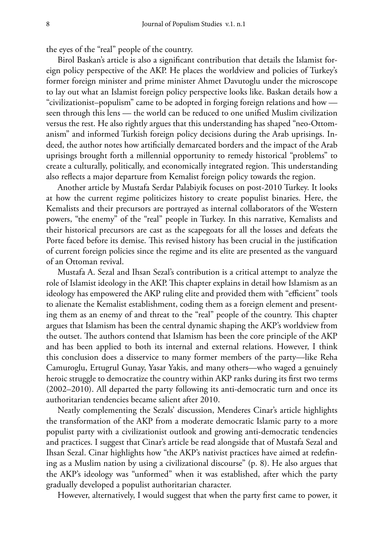the eyes of the "real" people of the country.

Birol Baskan's article is also a significant contribution that details the Islamist foreign policy perspective of the AKP. He places the worldview and policies of Turkey's former foreign minister and prime minister Ahmet Davutoglu under the microscope to lay out what an Islamist foreign policy perspective looks like. Baskan details how a "civilizationist–populism" came to be adopted in forging foreign relations and how seen through this lens — the world can be reduced to one unified Muslim civilization versus the rest. He also rightly argues that this understanding has shaped "neo-Ottomanism" and informed Turkish foreign policy decisions during the Arab uprisings. Indeed, the author notes how artificially demarcated borders and the impact of the Arab uprisings brought forth a millennial opportunity to remedy historical "problems" to create a culturally, politically, and economically integrated region. This understanding also reflects a major departure from Kemalist foreign policy towards the region.

Another article by Mustafa Serdar Palabiyik focuses on post-2010 Turkey. It looks at how the current regime politicizes history to create populist binaries. Here, the Kemalists and their precursors are portrayed as internal collaborators of the Western powers, "the enemy" of the "real" people in Turkey. In this narrative, Kemalists and their historical precursors are cast as the scapegoats for all the losses and defeats the Porte faced before its demise. This revised history has been crucial in the justification of current foreign policies since the regime and its elite are presented as the vanguard of an Ottoman revival.

Mustafa A. Sezal and Ihsan Sezal's contribution is a critical attempt to analyze the role of Islamist ideology in the AKP. This chapter explains in detail how Islamism as an ideology has empowered the AKP ruling elite and provided them with "efficient" tools to alienate the Kemalist establishment, coding them as a foreign element and presenting them as an enemy of and threat to the "real" people of the country. This chapter argues that Islamism has been the central dynamic shaping the AKP's worldview from the outset. The authors contend that Islamism has been the core principle of the AKP and has been applied to both its internal and external relations. However, I think this conclusion does a disservice to many former members of the party—like Reha Camuroglu, Ertugrul Gunay, Yasar Yakis, and many others—who waged a genuinely heroic struggle to democratize the country within AKP ranks during its first two terms (2002–2010). All departed the party following its anti-democratic turn and once its authoritarian tendencies became salient after 2010.

Neatly complementing the Sezals' discussion, Menderes Cinar's article highlights the transformation of the AKP from a moderate democratic Islamic party to a more populist party with a civilizationist outlook and growing anti-democratic tendencies and practices. I suggest that Cinar's article be read alongside that of Mustafa Sezal and Ihsan Sezal. Cinar highlights how "the AKP's nativist practices have aimed at redefining as a Muslim nation by using a civilizational discourse" (p. 8). He also argues that the AKP's ideology was "unformed" when it was established, after which the party gradually developed a populist authoritarian character.

However, alternatively, I would suggest that when the party first came to power, it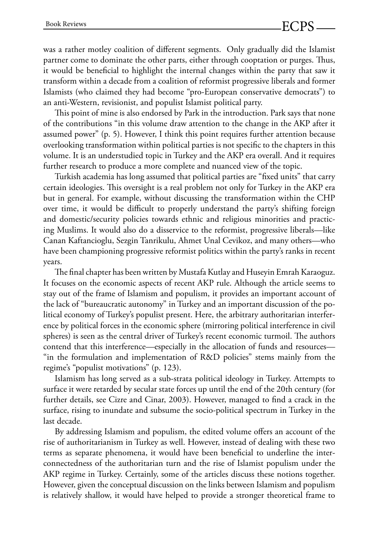was a rather motley coalition of different segments. Only gradually did the Islamist partner come to dominate the other parts, either through cooptation or purges. Thus, it would be beneficial to highlight the internal changes within the party that saw it transform within a decade from a coalition of reformist progressive liberals and former Islamists (who claimed they had become "pro-European conservative democrats") to an anti-Western, revisionist, and populist Islamist political party.

This point of mine is also endorsed by Park in the introduction. Park says that none of the contributions "in this volume draw attention to the change in the AKP after it assumed power" (p. 5). However, I think this point requires further attention because overlooking transformation within political parties is not specific to the chapters in this volume. It is an understudied topic in Turkey and the AKP era overall. And it requires further research to produce a more complete and nuanced view of the topic.

Turkish academia has long assumed that political parties are "fixed units" that carry certain ideologies. This oversight is a real problem not only for Turkey in the AKP era but in general. For example, without discussing the transformation within the CHP over time, it would be difficult to properly understand the party's shifting foreign and domestic/security policies towards ethnic and religious minorities and practicing Muslims. It would also do a disservice to the reformist, progressive liberals—like Canan Kaftancioglu, Sezgin Tanrikulu, Ahmet Unal Cevikoz, and many others—who have been championing progressive reformist politics within the party's ranks in recent years.

The final chapter has been written by Mustafa Kutlay and Huseyin Emrah Karaoguz. It focuses on the economic aspects of recent AKP rule. Although the article seems to stay out of the frame of Islamism and populism, it provides an important account of the lack of "bureaucratic autonomy" in Turkey and an important discussion of the political economy of Turkey's populist present. Here, the arbitrary authoritarian interference by political forces in the economic sphere (mirroring political interference in civil spheres) is seen as the central driver of Turkey's recent economic turmoil. The authors contend that this interference—especially in the allocation of funds and resources— "in the formulation and implementation of R&D policies" stems mainly from the regime's "populist motivations" (p. 123).

Islamism has long served as a sub-strata political ideology in Turkey. Attempts to surface it were retarded by secular state forces up until the end of the 20th century (for further details, see Cizre and Cinar, 2003). However, managed to find a crack in the surface, rising to inundate and subsume the socio-political spectrum in Turkey in the last decade.

By addressing Islamism and populism, the edited volume offers an account of the rise of authoritarianism in Turkey as well. However, instead of dealing with these two terms as separate phenomena, it would have been beneficial to underline the interconnectedness of the authoritarian turn and the rise of Islamist populism under the AKP regime in Turkey. Certainly, some of the articles discuss these notions together. However, given the conceptual discussion on the links between Islamism and populism is relatively shallow, it would have helped to provide a stronger theoretical frame to